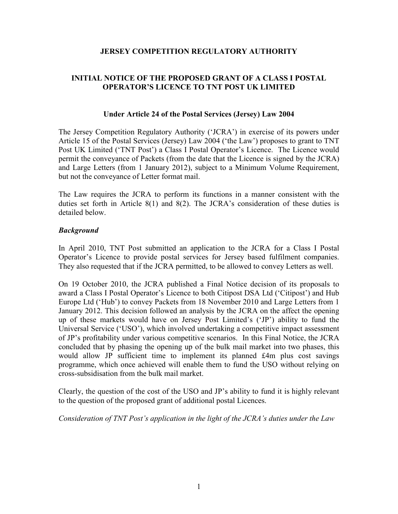### JERSEY COMPETITION REGULATORY AUTHORITY

# INITIAL NOTICE OF THE PROPOSED GRANT OF A CLASS I POSTAL OPERATOR'S LICENCE TO TNT POST UK LIMITED

#### Under Article 24 of the Postal Services (Jersey) Law 2004

The Jersey Competition Regulatory Authority ('JCRA') in exercise of its powers under Article 15 of the Postal Services (Jersey) Law 2004 ('the Law') proposes to grant to TNT Post UK Limited ('TNT Post') a Class I Postal Operator's Licence. The Licence would permit the conveyance of Packets (from the date that the Licence is signed by the JCRA) and Large Letters (from 1 January 2012), subject to a Minimum Volume Requirement, but not the conveyance of Letter format mail.

The Law requires the JCRA to perform its functions in a manner consistent with the duties set forth in Article 8(1) and 8(2). The JCRA's consideration of these duties is detailed below.

### Background

In April 2010, TNT Post submitted an application to the JCRA for a Class I Postal Operator's Licence to provide postal services for Jersey based fulfilment companies. They also requested that if the JCRA permitted, to be allowed to convey Letters as well.

On 19 October 2010, the JCRA published a Final Notice decision of its proposals to award a Class I Postal Operator's Licence to both Citipost DSA Ltd ('Citipost') and Hub Europe Ltd ('Hub') to convey Packets from 18 November 2010 and Large Letters from 1 January 2012. This decision followed an analysis by the JCRA on the affect the opening up of these markets would have on Jersey Post Limited's ('JP') ability to fund the Universal Service ('USO'), which involved undertaking a competitive impact assessment of JP's profitability under various competitive scenarios. In this Final Notice, the JCRA concluded that by phasing the opening up of the bulk mail market into two phases, this would allow JP sufficient time to implement its planned £4m plus cost savings programme, which once achieved will enable them to fund the USO without relying on cross-subsidisation from the bulk mail market.

Clearly, the question of the cost of the USO and JP's ability to fund it is highly relevant to the question of the proposed grant of additional postal Licences.

Consideration of TNT Post's application in the light of the JCRA's duties under the Law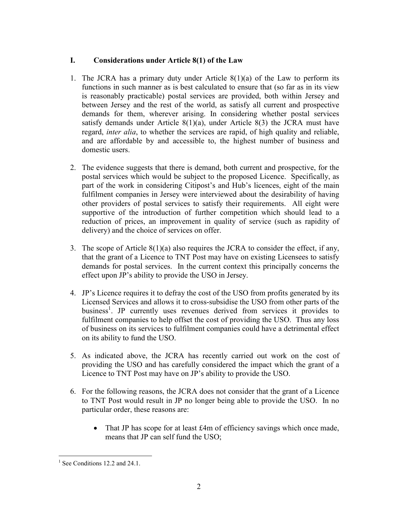# I. Considerations under Article 8(1) of the Law

- 1. The JCRA has a primary duty under Article  $8(1)(a)$  of the Law to perform its functions in such manner as is best calculated to ensure that (so far as in its view is reasonably practicable) postal services are provided, both within Jersey and between Jersey and the rest of the world, as satisfy all current and prospective demands for them, wherever arising. In considering whether postal services satisfy demands under Article  $8(1)(a)$ , under Article  $8(3)$  the JCRA must have regard, inter alia, to whether the services are rapid, of high quality and reliable, and are affordable by and accessible to, the highest number of business and domestic users.
- 2. The evidence suggests that there is demand, both current and prospective, for the postal services which would be subject to the proposed Licence. Specifically, as part of the work in considering Citipost's and Hub's licences, eight of the main fulfilment companies in Jersey were interviewed about the desirability of having other providers of postal services to satisfy their requirements. All eight were supportive of the introduction of further competition which should lead to a reduction of prices, an improvement in quality of service (such as rapidity of delivery) and the choice of services on offer.
- 3. The scope of Article 8(1)(a) also requires the JCRA to consider the effect, if any, that the grant of a Licence to TNT Post may have on existing Licensees to satisfy demands for postal services. In the current context this principally concerns the effect upon JP's ability to provide the USO in Jersey.
- 4. JP's Licence requires it to defray the cost of the USO from profits generated by its Licensed Services and allows it to cross-subsidise the USO from other parts of the business<sup>1</sup>. JP currently uses revenues derived from services it provides to fulfilment companies to help offset the cost of providing the USO. Thus any loss of business on its services to fulfilment companies could have a detrimental effect on its ability to fund the USO.
- 5. As indicated above, the JCRA has recently carried out work on the cost of providing the USO and has carefully considered the impact which the grant of a Licence to TNT Post may have on JP's ability to provide the USO.
- 6. For the following reasons, the JCRA does not consider that the grant of a Licence to TNT Post would result in JP no longer being able to provide the USO. In no particular order, these reasons are:
	- That JP has scope for at least £4m of efficiency savings which once made, means that JP can self fund the USO;

 $\overline{a}$ <sup>1</sup> See Conditions 12.2 and 24.1.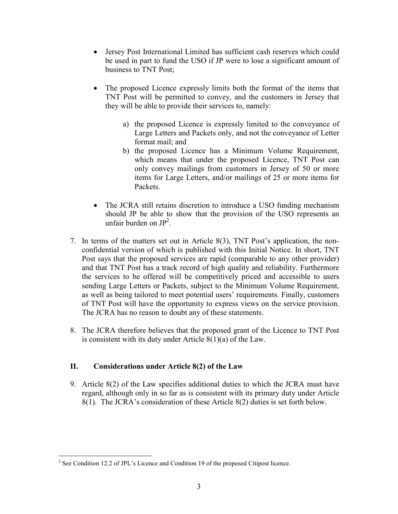- Jersey Post International Limited has sufficient cash reserves which could be used in part to fund the USO if JP were to lose a significant amount of business to TNT Post;
- The proposed Licence expressly limits both the format of the items that TNT Post will be permitted to convey, and the customers in Jersey that they will be able to provide their services to, namely:
	- a) the proposed Licence is expressly limited to the conveyance of Large Letters and Packets only, and not the conveyance of Letter format mail; and
	- b) the proposed Licence has a Minimum Volume Requirement, which means that under the proposed Licence, TNT Post can only convey mailings from customers in Jersey of 50 or more items for Large Letters, and/or mailings of 25 or more items for Packets.
- The JCRA still retains discretion to introduce a USO funding mechanism should JP be able to show that the provision of the USO represents an unfair burden on  $JP^2$ .
- 7. In terms of the matters set out in Article 8(3), TNT Post's application, the nonconfidential version of which is published with this Initial Notice. In short, TNT Post says that the proposed services are rapid (comparable to any other provider) and that TNT Post has a track record of high quality and reliability. Furthermore the services to be offered will be competitively priced and accessible to users sending Large Letters or Packets, subject to the Minimum Volume Requirement, as well as being tailored to meet potential users' requirements. Finally, customers of TNT Post will have the opportunity to express views on the service provision. The JCRA has no reason to doubt any of these statements.
- 8. The JCRA therefore believes that the proposed grant of the Licence to TNT Post is consistent with its duty under Article 8(1)(a) of the Law.

# II. Considerations under Article 8(2) of the Law

 $\overline{a}$ 

9. Article 8(2) of the Law specifies additional duties to which the JCRA must have regard, although only in so far as is consistent with its primary duty under Article 8(1). The JCRA's consideration of these Article 8(2) duties is set forth below.

 $2^2$  See Condition 12.2 of JPL's Licence and Condition 19 of the proposed Citipost licence.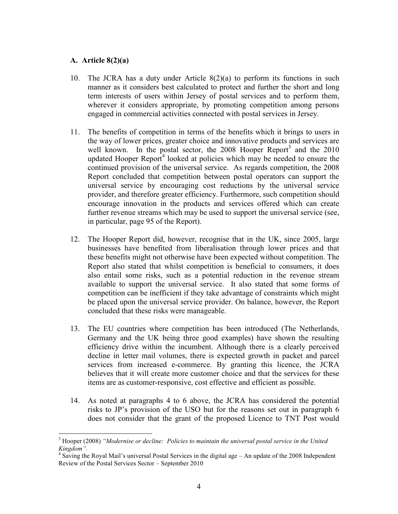#### A. Article  $8(2)(a)$

 $\overline{a}$ 

- 10. The JCRA has a duty under Article 8(2)(a) to perform its functions in such manner as it considers best calculated to protect and further the short and long term interests of users within Jersey of postal services and to perform them, wherever it considers appropriate, by promoting competition among persons engaged in commercial activities connected with postal services in Jersey.
- 11. The benefits of competition in terms of the benefits which it brings to users in the way of lower prices, greater choice and innovative products and services are well known. In the postal sector, the 2008 Hooper Report<sup>3</sup> and the 2010 updated Hooper Report $<sup>4</sup>$  looked at policies which may be needed to ensure the</sup> continued provision of the universal service. As regards competition, the 2008 Report concluded that competition between postal operators can support the universal service by encouraging cost reductions by the universal service provider, and therefore greater efficiency. Furthermore, such competition should encourage innovation in the products and services offered which can create further revenue streams which may be used to support the universal service (see, in particular, page 95 of the Report).
- 12. The Hooper Report did, however, recognise that in the UK, since 2005, large businesses have benefited from liberalisation through lower prices and that these benefits might not otherwise have been expected without competition. The Report also stated that whilst competition is beneficial to consumers, it does also entail some risks, such as a potential reduction in the revenue stream available to support the universal service. It also stated that some forms of competition can be inefficient if they take advantage of constraints which might be placed upon the universal service provider. On balance, however, the Report concluded that these risks were manageable.
- 13. The EU countries where competition has been introduced (The Netherlands, Germany and the UK being three good examples) have shown the resulting efficiency drive within the incumbent. Although there is a clearly perceived decline in letter mail volumes, there is expected growth in packet and parcel services from increased e-commerce. By granting this licence, the JCRA believes that it will create more customer choice and that the services for these items are as customer-responsive, cost effective and efficient as possible.
- 14. As noted at paragraphs 4 to 6 above, the JCRA has considered the potential risks to JP's provision of the USO but for the reasons set out in paragraph 6 does not consider that the grant of the proposed Licence to TNT Post would

 $3$  Hooper (2008) "Modernise or decline: Policies to maintain the universal postal service in the United Kingdom".

<sup>&</sup>lt;sup>4</sup> Saving the Royal Mail's universal Postal Services in the digital age – An update of the 2008 Independent Review of the Postal Services Sector – September 2010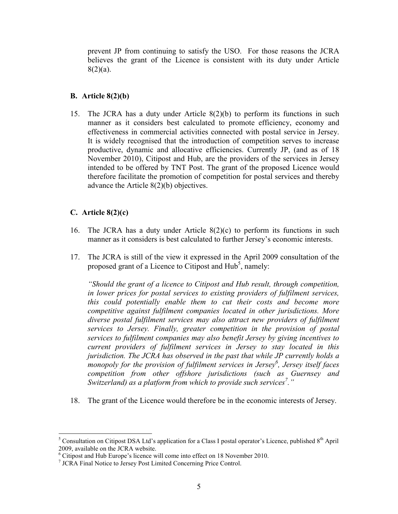prevent JP from continuing to satisfy the USO. For those reasons the JCRA believes the grant of the Licence is consistent with its duty under Article  $8(2)(a)$ .

### B. Article 8(2)(b)

15. The JCRA has a duty under Article 8(2)(b) to perform its functions in such manner as it considers best calculated to promote efficiency, economy and effectiveness in commercial activities connected with postal service in Jersey. It is widely recognised that the introduction of competition serves to increase productive, dynamic and allocative efficiencies. Currently JP, (and as of 18 November 2010), Citipost and Hub, are the providers of the services in Jersey intended to be offered by TNT Post. The grant of the proposed Licence would therefore facilitate the promotion of competition for postal services and thereby advance the Article 8(2)(b) objectives.

# C. Article  $8(2)(c)$

- 16. The JCRA has a duty under Article 8(2)(c) to perform its functions in such manner as it considers is best calculated to further Jersey's economic interests.
- 17. The JCRA is still of the view it expressed in the April 2009 consultation of the proposed grant of a Licence to Citipost and  $Hub<sup>5</sup>$ , namely:

"Should the grant of a licence to Citipost and Hub result, through competition, in lower prices for postal services to existing providers of fulfilment services, this could potentially enable them to cut their costs and become more competitive against fulfilment companies located in other jurisdictions. More diverse postal fulfilment services may also attract new providers of fulfilment services to Jersey. Finally, greater competition in the provision of postal services to fulfilment companies may also benefit Jersey by giving incentives to current providers of fulfilment services in Jersey to stay located in this jurisdiction. The JCRA has observed in the past that while JP currently holds a monopoly for the provision of fulfilment services in Jersey<sup>6</sup>, Jersey itself faces competition from other offshore jurisdictions (such as Guernsey and Switzerland) as a platform from which to provide such services<sup>7</sup>."

18. The grant of the Licence would therefore be in the economic interests of Jersey.

<sup>&</sup>lt;sup>5</sup> Consultation on Citipost DSA Ltd's application for a Class I postal operator's Licence, published 8<sup>th</sup> April 2009, available on the JCRA website.

<sup>&</sup>lt;sup>6</sup> Citipost and Hub Europe's licence will come into effect on 18 November 2010.

<sup>7</sup> JCRA Final Notice to Jersey Post Limited Concerning Price Control.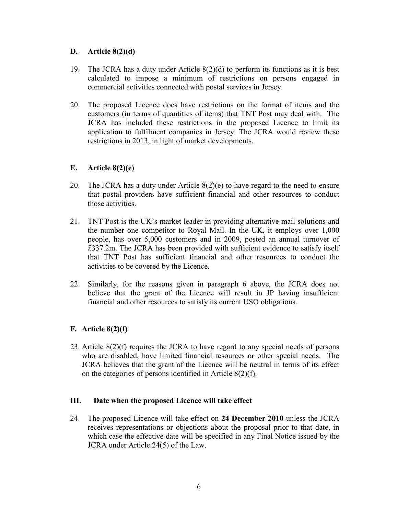### D. Article  $8(2)(d)$

- 19. The JCRA has a duty under Article 8(2)(d) to perform its functions as it is best calculated to impose a minimum of restrictions on persons engaged in commercial activities connected with postal services in Jersey.
- 20. The proposed Licence does have restrictions on the format of items and the customers (in terms of quantities of items) that TNT Post may deal with. The JCRA has included these restrictions in the proposed Licence to limit its application to fulfilment companies in Jersey. The JCRA would review these restrictions in 2013, in light of market developments.

# E. Article  $8(2)(e)$

- 20. The JCRA has a duty under Article 8(2)(e) to have regard to the need to ensure that postal providers have sufficient financial and other resources to conduct those activities.
- 21. TNT Post is the UK's market leader in providing alternative mail solutions and the number one competitor to Royal Mail. In the UK, it employs over 1,000 people, has over 5,000 customers and in 2009, posted an annual turnover of £337.2m. The JCRA has been provided with sufficient evidence to satisfy itself that TNT Post has sufficient financial and other resources to conduct the activities to be covered by the Licence.
- 22. Similarly, for the reasons given in paragraph 6 above, the JCRA does not believe that the grant of the Licence will result in JP having insufficient financial and other resources to satisfy its current USO obligations.

# F. Article  $8(2)(f)$

23. Article 8(2)(f) requires the JCRA to have regard to any special needs of persons who are disabled, have limited financial resources or other special needs. The JCRA believes that the grant of the Licence will be neutral in terms of its effect on the categories of persons identified in Article 8(2)(f).

# III. Date when the proposed Licence will take effect

24. The proposed Licence will take effect on 24 December 2010 unless the JCRA receives representations or objections about the proposal prior to that date, in which case the effective date will be specified in any Final Notice issued by the JCRA under Article 24(5) of the Law.